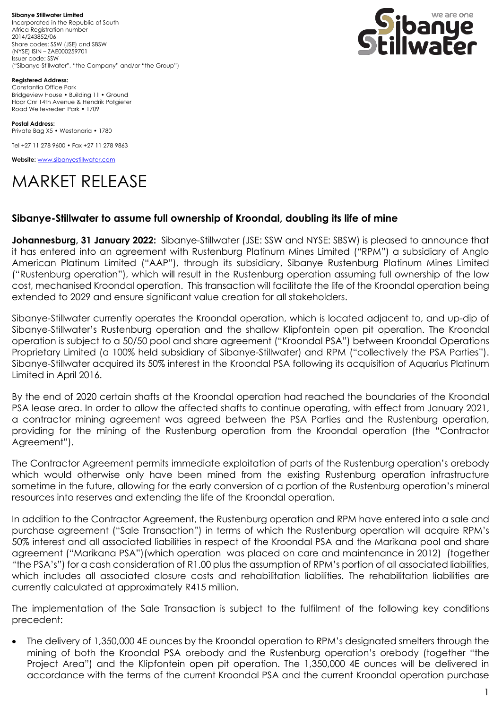**Sibanye Stillwater Limited** Incorporated in the Republic of South Africa Registration number 2014/243852/06 Share codes: SSW (JSE) and SBSW (NYSE) ISIN – ZAE000259701 Issuer code: SSW ("Sibanye-Stillwater", "the Company" and/or "the Group")



**Registered Address:** Constantia Office Park Bridgeview House • Building 11 • Ground Floor Cnr 14th Avenue & Hendrik Potgieter Road Weltevreden Park • 1709

**Postal Address:** Private Bag X5 • Westonaria • 1780

Tel +27 11 278 9600 • Fax +27 11 278 9863

**Website:** [www.sibanyestillwater.com](http://www.sibanyestillwater.com/)

# MARKET RELEASE

### **Sibanye-Stillwater to assume full ownership of Kroondal, doubling its life of mine**

**Johannesburg, 31 January 2022:** Sibanye-Stillwater (JSE: SSW and NYSE: SBSW) is pleased to announce that it has entered into an agreement with Rustenburg Platinum Mines Limited ("RPM") a subsidiary of Anglo American Platinum Limited ("AAP"), through its subsidiary, Sibanye Rustenburg Platinum Mines Limited ("Rustenburg operation"), which will result in the Rustenburg operation assuming full ownership of the low cost, mechanised Kroondal operation. This transaction will facilitate the life of the Kroondal operation being extended to 2029 and ensure significant value creation for all stakeholders.

Sibanye-Stillwater currently operates the Kroondal operation, which is located adjacent to, and up-dip of Sibanye-Stillwater's Rustenburg operation and the shallow Klipfontein open pit operation. The Kroondal operation is subject to a 50/50 pool and share agreement ("Kroondal PSA") between Kroondal Operations Proprietary Limited (a 100% held subsidiary of Sibanye-Stillwater) and RPM ("collectively the PSA Parties"). Sibanye-Stillwater acquired its 50% interest in the Kroondal PSA following its acquisition of Aquarius Platinum Limited in April 2016.

By the end of 2020 certain shafts at the Kroondal operation had reached the boundaries of the Kroondal PSA lease area. In order to allow the affected shafts to continue operating, with effect from January 2021, a contractor mining agreement was agreed between the PSA Parties and the Rustenburg operation, providing for the mining of the Rustenburg operation from the Kroondal operation (the "Contractor Agreement").

The Contractor Agreement permits immediate exploitation of parts of the Rustenburg operation's orebody which would otherwise only have been mined from the existing Rustenburg operation infrastructure sometime in the future, allowing for the early conversion of a portion of the Rustenburg operation's mineral resources into reserves and extending the life of the Kroondal operation.

In addition to the Contractor Agreement, the Rustenburg operation and RPM have entered into a sale and purchase agreement ("Sale Transaction") in terms of which the Rustenburg operation will acquire RPM's 50% interest and all associated liabilities in respect of the Kroondal PSA and the Marikana pool and share agreement ("Marikana PSA")(which operation was placed on care and maintenance in 2012) (together "the PSA's") for a cash consideration of R1.00 plus the assumption of RPM's portion of all associated liabilities, which includes all associated closure costs and rehabilitation liabilities. The rehabilitation liabilities are currently calculated at approximately R415 million.

The implementation of the Sale Transaction is subject to the fulfilment of the following key conditions precedent:

• The delivery of 1,350,000 4E ounces by the Kroondal operation to RPM's designated smelters through the mining of both the Kroondal PSA orebody and the Rustenburg operation's orebody (together "the Project Area") and the Klipfontein open pit operation. The 1,350,000 4E ounces will be delivered in accordance with the terms of the current Kroondal PSA and the current Kroondal operation purchase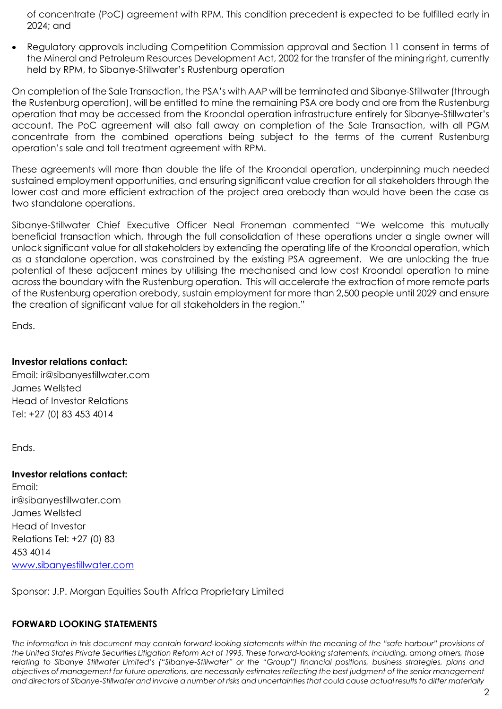of concentrate (PoC) agreement with RPM. This condition precedent is expected to be fulfilled early in 2024; and

• Regulatory approvals including Competition Commission approval and Section 11 consent in terms of the Mineral and Petroleum Resources Development Act, 2002 for the transfer of the mining right, currently held by RPM, to Sibanye-Stillwater's Rustenburg operation

On completion of the Sale Transaction, the PSA's with AAP will be terminated and Sibanye-Stillwater (through the Rustenburg operation), will be entitled to mine the remaining PSA ore body and ore from the Rustenburg operation that may be accessed from the Kroondal operation infrastructure entirely for Sibanye-Stillwater's account. The PoC agreement will also fall away on completion of the Sale Transaction, with all PGM concentrate from the combined operations being subject to the terms of the current Rustenburg operation's sale and toll treatment agreement with RPM.

These agreements will more than double the life of the Kroondal operation, underpinning much needed sustained employment opportunities, and ensuring significant value creation for all stakeholders through the lower cost and more efficient extraction of the project area orebody than would have been the case as two standalone operations.

Sibanye-Stillwater Chief Executive Officer Neal Froneman commented "We welcome this mutually beneficial transaction which, through the full consolidation of these operations under a single owner will unlock significant value for all stakeholders by extending the operating life of the Kroondal operation, which as a standalone operation, was constrained by the existing PSA agreement. We are unlocking the true potential of these adjacent mines by utilising the mechanised and low cost Kroondal operation to mine across the boundary with the Rustenburg operation. This will accelerate the extraction of more remote parts of the Rustenburg operation orebody, sustain employment for more than 2,500 people until 2029 and ensure the creation of significant value for all stakeholders in the region."

Ends.

## **Investor relations contact:**

Email: [ir@sibanyestillwater.com](mailto:ir@sibanyestillwater.com) James Wellsted Head of Investor Relations Tel: +27 (0) 83 453 4014

Ends.

## **Investor relations contact:**

Email: [ir@sibanyestillwater.com](mailto:ir@sibanyestillwater.com) James Wellsted Head of Investor Relations Tel: +27 (0) 83 453 4014 [www.sibanyestillwater.com](http://www.sibanyestillwater.com/)

Sponsor: J.P. Morgan Equities South Africa Proprietary Limited

## **FORWARD LOOKING STATEMENTS**

The information in this document may contain forward-looking statements within the meaning of the "safe harbour" provisions of *the United States Private Securities Litigation Reform Act of 1995. These forward-looking statements, including, among others, those relating to Sibanye Stillwater Limited's ("Sibanye-Stillwater" or the "Group") financial positions, business strategies, plans and objectives of management for future operations, are necessarily estimates reflecting the best judgment of the senior management and directors of Sibanye-Stillwater and involve a number of risks and uncertainties that could cause actual results to differ materially*